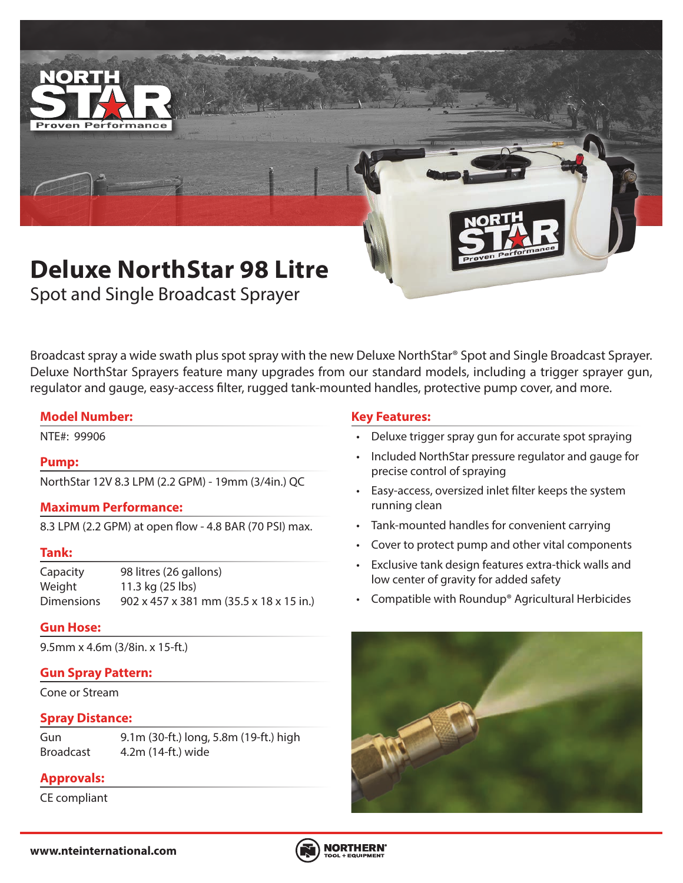

Spot and Single Broadcast Sprayer

Broadcast spray a wide swath plus spot spray with the new Deluxe NorthStar® Spot and Single Broadcast Sprayer. Deluxe NorthStar Sprayers feature many upgrades from our standard models, including a trigger sprayer gun, regulator and gauge, easy-access filter, rugged tank-mounted handles, protective pump cover, and more.

#### **Model Number:**

#### **Pump:**

NorthStar 12V 8.3 LPM (2.2 GPM) - 19mm (3/4in.) QC

#### **Maximum Performance:**

8.3 LPM (2.2 GPM) at open flow - 4.8 BAR (70 PSI) max.

#### **Tank:**

Capacity 98 litres (26 gallons) Weight 11.3 kg (25 lbs) Dimensions 902 x 457 x 381 mm (35.5 x 18 x 15 in.)

#### **Gun Hose:**

9.5mm x 4.6m (3/8in. x 15-ft.)

## **Gun Spray Pattern:**

Cone or Stream

#### **Spray Distance:**

Gun 9.1m (30-ft.) long, 5.8m (19-ft.) high Broadcast 4.2m (14-ft.) wide

# **Approvals:**

CE compliant

## **Key Features:**

- NTE#: 99906 Deluxe trigger spray gun for accurate spot spraying
	- Included NorthStar pressure regulator and gauge for precise control of spraying
	- Easy-access, oversized inlet filter keeps the system running clean
	- Tank-mounted handles for convenient carrying
	- Cover to protect pump and other vital components
	- Exclusive tank design features extra-thick walls and low center of gravity for added safety
	- Compatible with Roundup® Agricultural Herbicides